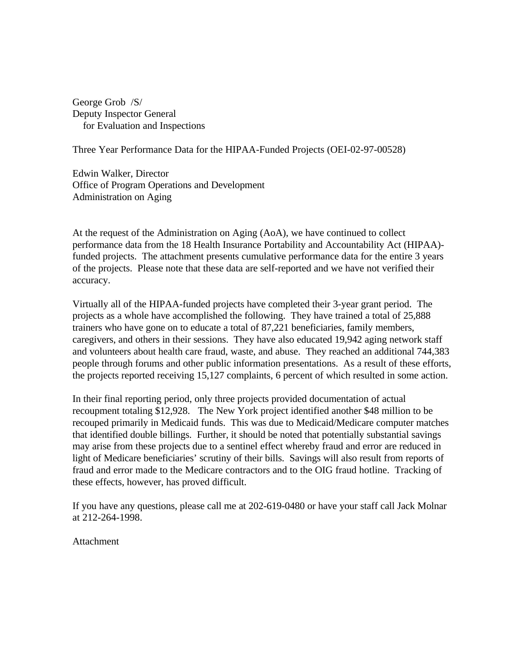George Grob /S/ Deputy Inspector General for Evaluation and Inspections

Three Year Performance Data for the HIPAA-Funded Projects (OEI-02-97-00528)

Edwin Walker, Director Office of Program Operations and Development Administration on Aging

At the request of the Administration on Aging (AoA), we have continued to collect performance data from the 18 Health Insurance Portability and Accountability Act (HIPAA) funded projects. The attachment presents cumulative performance data for the entire 3 years of the projects. Please note that these data are self-reported and we have not verified their accuracy.

Virtually all of the HIPAA-funded projects have completed their 3-year grant period. The projects as a whole have accomplished the following. They have trained a total of 25,888 trainers who have gone on to educate a total of 87,221 beneficiaries, family members, caregivers, and others in their sessions. They have also educated 19,942 aging network staff and volunteers about health care fraud, waste, and abuse. They reached an additional 744,383 people through forums and other public information presentations. As a result of these efforts, the projects reported receiving 15,127 complaints, 6 percent of which resulted in some action.

In their final reporting period, only three projects provided documentation of actual recoupment totaling \$12,928. The New York project identified another \$48 million to be recouped primarily in Medicaid funds. This was due to Medicaid/Medicare computer matches that identified double billings. Further, it should be noted that potentially substantial savings may arise from these projects due to a sentinel effect whereby fraud and error are reduced in light of Medicare beneficiaries' scrutiny of their bills. Savings will also result from reports of fraud and error made to the Medicare contractors and to the OIG fraud hotline. Tracking of these effects, however, has proved difficult.

If you have any questions, please call me at 202-619-0480 or have your staff call Jack Molnar at 212-264-1998.

Attachment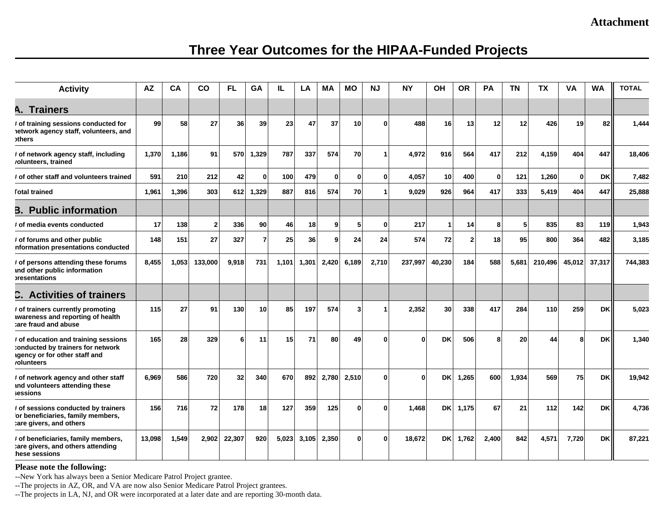### **Attachment**

# **Three Year Outcomes for the HIPAA-Funded Projects**

| <b>Activity</b>                                                                                                         | <b>AZ</b> | CA    | <b>CO</b>    | FL     | GA           | IL    | LA    | <b>MA</b>      | <b>MO</b>      | <b>NJ</b>    | <b>NY</b> | OH              | <b>OR</b>      | PA           | <b>TN</b> | <b>TX</b> | VA           | <b>WA</b> | <b>TOTAL</b> |
|-------------------------------------------------------------------------------------------------------------------------|-----------|-------|--------------|--------|--------------|-------|-------|----------------|----------------|--------------|-----------|-----------------|----------------|--------------|-----------|-----------|--------------|-----------|--------------|
| <b>A. Trainers</b>                                                                                                      |           |       |              |        |              |       |       |                |                |              |           |                 |                |              |           |           |              |           |              |
| # of training sessions conducted for<br>letwork agency staff, volunteers, and<br><b>others</b>                          | 99        | 58    | 27           | 36     | 39           | 23    | 47    | 37             | 10             | ŋ            | 488       | 16              | 13             | 12           | 12        | 426       | 19           | 82        | 1,444        |
| # of network agency staff, including<br>/olunteers, trained                                                             | 1,370     | 1,186 | 91           | 570    | 1,329        | 787   | 337   | 574            | <b>70</b>      | 1            | 4,972     | 916             | 564            | 417          | 212       | 4,159     | 404          | 447       | 18,406       |
| # of other staff and volunteers trained                                                                                 | 591       | 210   | 212          | 42     | $\mathbf{0}$ | 100   | 479   | $\mathbf{0}$   | $\mathbf{0}$   | $\mathbf{0}$ | 4.057     | 10 <sup>1</sup> | 400            | $\mathbf{0}$ | 121       | 1,260     | $\mathbf{0}$ | <b>DK</b> | 7,482        |
| <b>Fotal trained</b>                                                                                                    | 1.961     | 1,396 | 303          |        | 612 1,329    | 887   | 816   | 574            | 70             |              | 9.029     | 926             | 964            | 417          | 333       | 5.419     | 404          | 447       | 25,888       |
| <b>B.</b> Public information                                                                                            |           |       |              |        |              |       |       |                |                |              |           |                 |                |              |           |           |              |           |              |
| t of media events conducted                                                                                             | 17        | 138   | $\mathbf{2}$ | 336    | 90           | 46    | 18    | $\overline{9}$ | 5 <sub>l</sub> | 0            | 217       | 1               | 14             | 8            | 5         | 835       | 83           | 119       | 1,943        |
| # of forums and other public<br>nformation presentations conducted                                                      | 148       | 151   | 27           | 327    |              | 25    | 36    | g              | 24             | 24           | 574       | 72              | $\overline{2}$ | 18           | 95        | 800       | 364          | 482       | 3,185        |
| # of persons attending these forums<br>and other public information<br>oresentations                                    | 8,455     | 1,053 | 133,000      | 9,918  | 731          | 1,101 | 1,301 | 2,420          | 6,189          | 2,710        | 237,997   | 40,230          | 184            | 588          | 5,681     | 210,496   | 45,012       | 37,317    | 744,383      |
| C. Activities of trainers                                                                                               |           |       |              |        |              |       |       |                |                |              |           |                 |                |              |           |           |              |           |              |
| # of trainers currently promoting<br>awareness and reporting of health<br>are fraud and abuse:                          | 115       | 27    | 91           | 130    | 10           | 85    | 197   | 574            | 3              |              | 2.352     | 30              | 338            | 417          | 284       | 110       | 259          | DK        | 5.023        |
| # of education and training sessions<br>conducted by trainers for network<br>agency or for other staff and<br>olunteers | 165       | 28    | 329          | 6      | 11           | 15    | 71    | 80             | 49             | ŋ            | 0         | DK              | 506            |              | 20        | 44        | 8            | DK        | 1,340        |
| # of network agency and other staff<br>and volunteers attending these<br>sessions                                       | 6,969     | 586   | 720          | 32     | 340          | 670   | 892   | 2,780          | 2,510          | $\mathbf{0}$ | 0         | <b>DKI</b>      | 1,265          | 600          | 1,934     | 569       | 75           | <b>DK</b> | 19,942       |
| # of sessions conducted by trainers<br>or beneficiaries, family members,<br>tare givers, and others                     | 156       | 716   | 72           | 178    | 18           | 127   | 359   | 125            | $\mathbf{0}$   | $\Omega$     | 1.468     | <b>DKI</b>      | 1,175          | 67           | 21        | 112       | 142          | <b>DK</b> | 4,736        |
| # of beneficiaries, family members,<br>tare givers, and others attending<br>hese sessions                               | 13,098    | 1,549 | 2,902        | 22,307 | 920          | 5,023 | 3,105 | 2,350          | $\mathbf{0}$   | 0            | 18.672    | <b>DKI</b>      | 1,762          | 2,400        | 842       | 4,571     | 7,720        | <b>DK</b> | 87,221       |

#### **Please note the following:**

--New York has always been a Senior Medicare Patrol Project grantee.

--The projects in AZ, OR, and VA are now also Senior Medicare Patrol Project grantees.

--The projects in LA, NJ, and OR were incorporated at a later date and are reporting 30-month data.